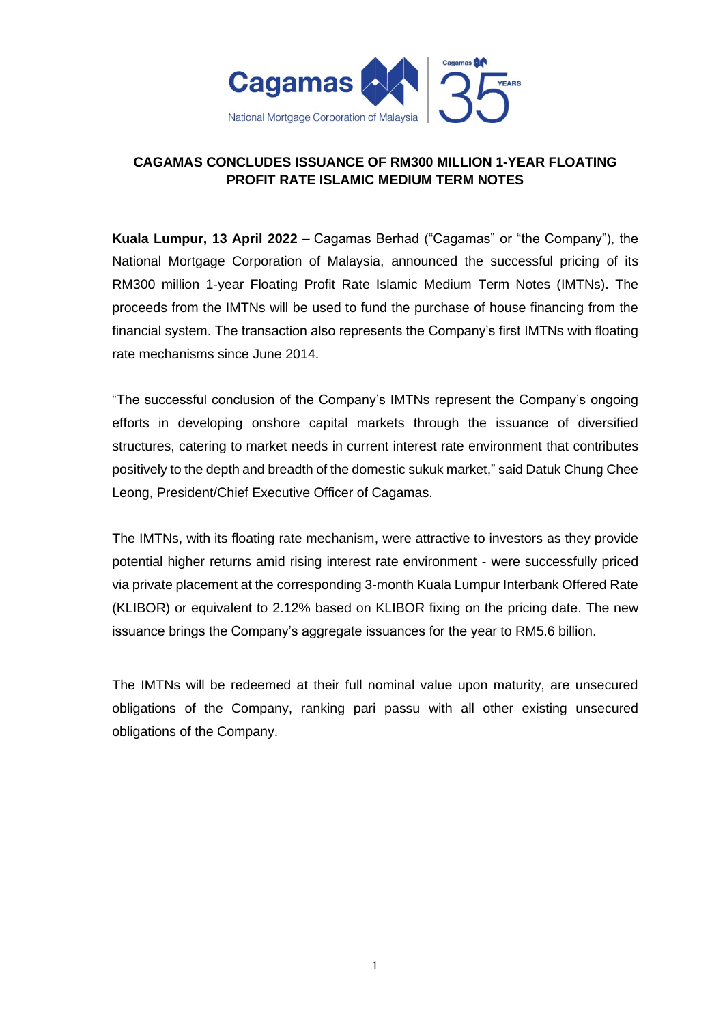

## **CAGAMAS CONCLUDES ISSUANCE OF RM300 MILLION 1-YEAR FLOATING PROFIT RATE ISLAMIC MEDIUM TERM NOTES**

**Kuala Lumpur, 13 April 2022 –** Cagamas Berhad ("Cagamas" or "the Company"), the National Mortgage Corporation of Malaysia, announced the successful pricing of its RM300 million 1-year Floating Profit Rate Islamic Medium Term Notes (IMTNs). The proceeds from the IMTNs will be used to fund the purchase of house financing from the financial system. The transaction also represents the Company's first IMTNs with floating rate mechanisms since June 2014.

"The successful conclusion of the Company's IMTNs represent the Company's ongoing efforts in developing onshore capital markets through the issuance of diversified structures, catering to market needs in current interest rate environment that contributes positively to the depth and breadth of the domestic sukuk market," said Datuk Chung Chee Leong, President/Chief Executive Officer of Cagamas.

The IMTNs, with its floating rate mechanism, were attractive to investors as they provide potential higher returns amid rising interest rate environment - were successfully priced via private placement at the corresponding 3-month Kuala Lumpur Interbank Offered Rate (KLIBOR) or equivalent to 2.12% based on KLIBOR fixing on the pricing date. The new issuance brings the Company's aggregate issuances for the year to RM5.6 billion.

The IMTNs will be redeemed at their full nominal value upon maturity, are unsecured obligations of the Company, ranking pari passu with all other existing unsecured obligations of the Company.